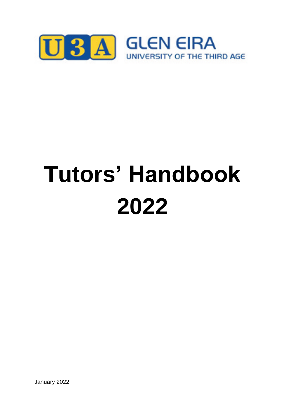

# **Tutors' Handbook 2022**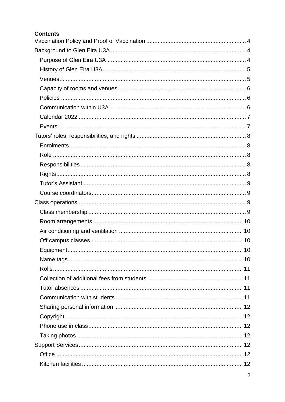| <b>Contents</b> |
|-----------------|
|                 |
|                 |
|                 |
|                 |
|                 |
|                 |
|                 |
|                 |
|                 |
|                 |
|                 |
|                 |
|                 |
|                 |
|                 |
|                 |
|                 |
|                 |
|                 |
|                 |
|                 |
|                 |
|                 |
|                 |
|                 |
|                 |
|                 |
|                 |
|                 |
|                 |
|                 |
|                 |
|                 |
|                 |
|                 |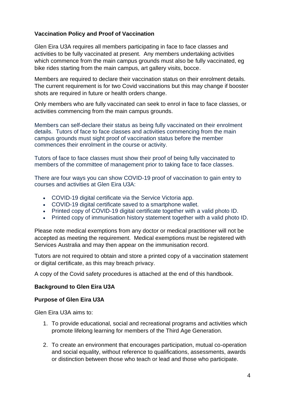## <span id="page-3-0"></span>**Vaccination Policy and Proof of Vaccination**

Glen Eira U3A requires all members participating in face to face classes and activities to be fully vaccinated at present. Any members undertaking activities which commence from the main campus grounds must also be fully vaccinated, eg bike rides starting from the main campus, art gallery visits, bocce.

Members are required to declare their vaccination status on their enrolment details. The current requirement is for two Covid vaccinations but this may change if booster shots are required in future or health orders change.

Only members who are fully vaccinated can seek to enrol in face to face classes, or activities commencing from the main campus grounds.

Members can self-declare their status as being fully vaccinated on their enrolment details. Tutors of face to face classes and activities commencing from the main campus grounds must sight proof of vaccination status before the member commences their enrolment in the course or activity.

Tutors of face to face classes must show their proof of being fully vaccinated to members of the committee of management prior to taking face to face classes.

There are four ways you can show COVID-19 proof of vaccination to gain entry to courses and activities at Glen Eira U3A:

- COVID-19 digital certificate via the Service Victoria app.
- COVID-19 digital certificate saved to a smartphone wallet.
- Printed copy of COVID-19 digital certificate together with a valid photo ID.
- Printed copy of immunisation history statement together with a valid photo ID.

Please note medical exemptions from any doctor or medical practitioner will not be accepted as meeting the requirement. Medical exemptions must be registered with Services Australia and may then appear on the immunisation record.

Tutors are not required to obtain and store a printed copy of a vaccination statement or digital certificate, as this may breach privacy.

A copy of the Covid safety procedures is attached at the end of this handbook.

## <span id="page-3-1"></span>**Background to Glen Eira U3A**

#### <span id="page-3-2"></span>**Purpose of Glen Eira U3A**

Glen Eira U3A aims to:

- 1. To provide educational, social and recreational programs and activities which promote lifelong learning for members of the Third Age Generation.
- 2. To create an environment that encourages participation, mutual co-operation and social equality, without reference to qualifications, assessments, awards or distinction between those who teach or lead and those who participate.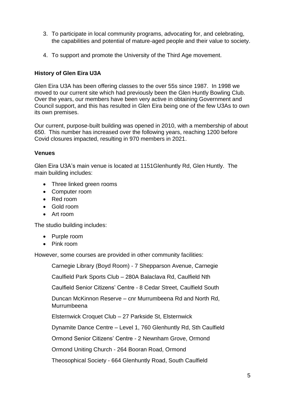- 3. To participate in local community programs, advocating for, and celebrating, the capabilities and potential of mature-aged people and their value to society.
- 4. To support and promote the University of the Third Age movement.

## <span id="page-4-0"></span>**History of Glen Eira U3A**

Glen Eira U3A has been offering classes to the over 55s since 1987. In 1998 we moved to our current site which had previously been the Glen Huntly Bowling Club. Over the years, our members have been very active in obtaining Government and Council support, and this has resulted in Glen Eira being one of the few U3As to own its own premises.

Our current, purpose-built building was opened in 2010, with a membership of about 650. This number has increased over the following years, reaching 1200 before Covid closures impacted, resulting in 970 members in 2021.

#### <span id="page-4-1"></span>**Venues**

Glen Eira U3A's main venue is located at 1151Glenhuntly Rd, Glen Huntly. The main building includes:

- Three linked green rooms
- Computer room
- Red room
- Gold room
- Art room

The studio building includes:

- Purple room
- Pink room

However, some courses are provided in other community facilities:

Carnegie Library (Boyd Room) - 7 Shepparson Avenue, Carnegie

Caulfield Park Sports Club – 280A Balaclava Rd, Caulfield Nth

Caulfield Senior Citizens' Centre - 8 Cedar Street, Caulfield South

Duncan McKinnon Reserve – cnr Murrumbeena Rd and North Rd, **Murrumbeena** 

Elsternwick Croquet Club – 27 Parkside St, Elsternwick

Dynamite Dance Centre – Level 1, 760 Glenhuntly Rd, Sth Caulfield

Ormond Senior Citizens' Centre - 2 Newnham Grove, Ormond

Ormond Uniting Church - 264 Booran Road, Ormond

Theosophical Society - 664 Glenhuntly Road, South Caulfield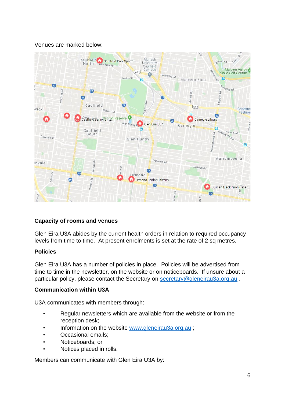## Venues are marked below:



## <span id="page-5-0"></span>**Capacity of rooms and venues**

Glen Eira U3A abides by the current health orders in relation to required occupancy levels from time to time. At present enrolments is set at the rate of 2 sq metres.

## <span id="page-5-1"></span>**Policies**

Glen Eira U3A has a number of policies in place. Policies will be advertised from time to time in the newsletter, on the website or on noticeboards. If unsure about a particular policy, please contact the Secretary on [secretary@gleneirau3a.org.au](mailto:secretary@gleneirau3a.org.au).

#### <span id="page-5-2"></span>**Communication within U3A**

U3A communicates with members through:

- Regular newsletters which are available from the website or from the reception desk;
- Information on the website [www.gleneirau3a.org.au](http://www.gleneirau3a.org.au/) ;
- Occasional emails;
- Noticeboards; or
- Notices placed in rolls.

Members can communicate with Glen Eira U3A by: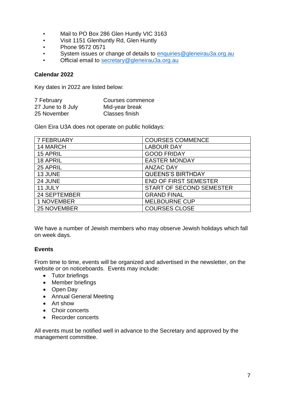- Mail to PO Box 286 Glen Huntly VIC 3163
- Visit 1151 Glenhuntly Rd, Glen Huntly
- Phone 9572 0571
- System issues or change of details to [enquiries@gleneirau3a.org.au](mailto:enquiries@gleneirau3a.org.au)
- Official email to [secretary@gleneirau3a.org.au](mailto:secretary@gleneirau3a.org.au)

#### <span id="page-6-0"></span>**Calendar 2022**

Key dates in 2022 are listed below:

| 7 February        | Courses commence |
|-------------------|------------------|
| 27 June to 8 July | Mid-year break   |
| 25 November       | Classes finish   |

Glen Eira U3A does not operate on public holidays:

| <b>7 FEBRUARY</b> | <b>COURSES COMMENCE</b>         |
|-------------------|---------------------------------|
| 14 MARCH          | <b>LABOUR DAY</b>               |
| 15 APRIL          | <b>GOOD FRIDAY</b>              |
| 18 APRIL          | <b>EASTER MONDAY</b>            |
| 25 APRIL          | <b>ANZAC DAY</b>                |
| 13 JUNE           | <b>QUEENS'S BIRTHDAY</b>        |
| 24 JUNE           | <b>END OF FIRST SEMESTER</b>    |
| 11 JULY           | <b>START OF SECOND SEMESTER</b> |
| 24 SEPTEMBER      | <b>GRAND FINAL</b>              |
| 1 NOVEMBER        | <b>MELBOURNE CUP</b>            |
| 25 NOVEMBER       | <b>COURSES CLOSE</b>            |

We have a number of Jewish members who may observe Jewish holidays which fall on week days.

#### <span id="page-6-1"></span>**Events**

From time to time, events will be organized and advertised in the newsletter, on the website or on noticeboards. Events may include:

- Tutor briefings
- Member briefings
- Open Day
- Annual General Meeting
- Art show
- Choir concerts
- Recorder concerts

All events must be notified well in advance to the Secretary and approved by the management committee.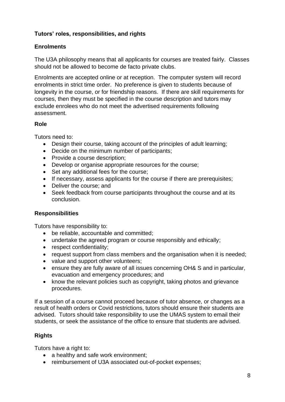# <span id="page-7-0"></span>**Tutors' roles, responsibilities, and rights**

# <span id="page-7-1"></span>**Enrolments**

The U3A philosophy means that all applicants for courses are treated fairly. Classes should not be allowed to become de facto private clubs.

Enrolments are accepted online or at reception. The computer system will record enrolments in strict time order. No preference is given to students because of longevity in the course, or for friendship reasons. If there are skill requirements for courses, then they must be specified in the course description and tutors may exclude enrolees who do not meet the advertised requirements following assessment.

#### <span id="page-7-2"></span>**Role**

Tutors need to:

- Design their course, taking account of the principles of adult learning;
- Decide on the minimum number of participants;
- Provide a course description:
- Develop or organise appropriate resources for the course;
- Set any additional fees for the course;
- If necessary, assess applicants for the course if there are prerequisites;
- Deliver the course; and
- Seek feedback from course participants throughout the course and at its conclusion.

# <span id="page-7-3"></span>**Responsibilities**

Tutors have responsibility to:

- be reliable, accountable and committed;
- undertake the agreed program or course responsibly and ethically;
- respect confidentiality;
- request support from class members and the organisation when it is needed;
- value and support other volunteers;
- ensure they are fully aware of all issues concerning OH& S and in particular, evacuation and emergency procedures; and
- know the relevant policies such as copyright, taking photos and grievance procedures.

If a session of a course cannot proceed because of tutor absence, or changes as a result of health orders or Covid restrictions, tutors should ensure their students are advised. Tutors should take responsibility to use the UMAS system to email their students, or seek the assistance of the office to ensure that students are advised.

# <span id="page-7-4"></span>**Rights**

Tutors have a right to:

- a healthy and safe work environment;
- reimbursement of U3A associated out-of-pocket expenses;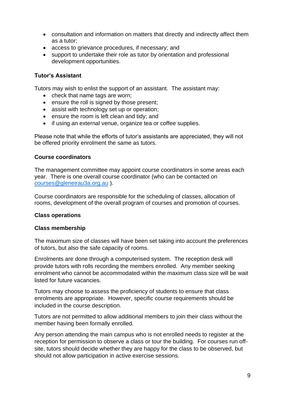- consultation and information on matters that directly and indirectly affect them as a tutor;
- access to grievance procedures, if necessary; and
- support to undertake their role as tutor by orientation and professional development opportunities.

## <span id="page-8-0"></span>**Tutor's Assistant**

Tutors may wish to enlist the support of an assistant. The assistant may:

- check that name tags are worn;
- ensure the roll is signed by those present:
- assist with technology set up or operation;
- ensure the room is left clean and tidy; and
- if using an external venue, organize tea or coffee supplies.

Please note that while the efforts of tutor's assistants are appreciated, they will not be offered priority enrolment the same as tutors.

#### <span id="page-8-1"></span>**Course coordinators**

The management committee may appoint course coordinators in some areas each year. There is one overall course coordinator (who can be contacted on [courses@gleneirau3a.org.au](mailto:courses@gleneirau3a.org.au) ).

Course coordinators are responsible for the scheduling of classes, allocation of rooms, development of the overall program of courses and promotion of courses.

## <span id="page-8-2"></span>**Class operations**

## <span id="page-8-3"></span>**Class membership**

The maximum size of classes will have been set taking into account the preferences of tutors, but also the safe capacity of rooms.

Enrolments are done through a computerised system. The reception desk will provide tutors with rolls recording the members enrolled. Any member seeking enrolment who cannot be accommodated within the maximum class size will be wait listed for future vacancies.

Tutors may choose to assess the proficiency of students to ensure that class enrolments are appropriate. However, specific course requirements should be included in the course description.

Tutors are not permitted to allow additional members to join their class without the member having been formally enrolled.

Any person attending the main campus who is not enrolled needs to register at the reception for permission to observe a class or tour the building. For courses run offsite, tutors should decide whether they are happy for the class to be observed, but should not allow participation in active exercise sessions.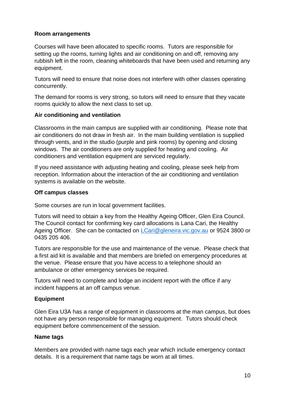#### <span id="page-9-0"></span>**Room arrangements**

Courses will have been allocated to specific rooms. Tutors are responsible for setting up the rooms, turning lights and air conditioning on and off, removing any rubbish left in the room, cleaning whiteboards that have been used and returning any equipment.

Tutors will need to ensure that noise does not interfere with other classes operating concurrently.

The demand for rooms is very strong, so tutors will need to ensure that they vacate rooms quickly to allow the next class to set up.

## <span id="page-9-1"></span>**Air conditioning and ventilation**

Classrooms in the main campus are supplied with air conditioning. Please note that air conditioners do not draw in fresh air. In the main building ventilation is supplied through vents, and in the studio (purple and pink rooms) by opening and closing windows. The air conditioners are only supplied for heating and cooling. Air conditioners and ventilation equipment are serviced regularly.

If you need assistance with adjusting heating and cooling, please seek help from reception. Information about the interaction of the air conditioning and ventilation systems is available on the website.

#### <span id="page-9-2"></span>**Off campus classes**

Some courses are run in local government facilities.

Tutors will need to obtain a key from the Healthy Ageing Officer, Glen Eira Council. The Council contact for confirming key card allocations is Lana Cari, the Healthy Ageing Officer. She can be contacted on [LCari@gleneira.vic.gov.au](mailto:LCari@gleneira.vic.gov.au) or 9524 3800 or 0435 205 406.

Tutors are responsible for the use and maintenance of the venue. Please check that a first aid kit is available and that members are briefed on emergency procedures at the venue. Please ensure that you have access to a telephone should an ambulance or other emergency services be required.

Tutors will need to complete and lodge an incident report with the office if any incident happens at an off campus venue.

## <span id="page-9-3"></span>**Equipment**

Glen Eira U3A has a range of equipment in classrooms at the man campus, but does not have any person responsible for managing equipment. Tutors should check equipment before commencement of the session.

## <span id="page-9-4"></span>**Name tags**

Members are provided with name tags each year which include emergency contact details. It is a requirement that name tags be worn at all times.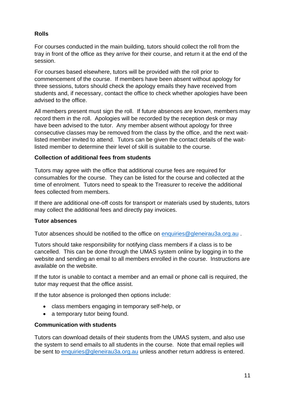# <span id="page-10-0"></span>**Rolls**

For courses conducted in the main building, tutors should collect the roll from the tray in front of the office as they arrive for their course, and return it at the end of the session.

For courses based elsewhere, tutors will be provided with the roll prior to commencement of the course. If members have been absent without apology for three sessions, tutors should check the apology emails they have received from students and, if necessary, contact the office to check whether apologies have been advised to the office.

All members present must sign the roll. If future absences are known, members may record them in the roll. Apologies will be recorded by the reception desk or may have been advised to the tutor. Any member absent without apology for three consecutive classes may be removed from the class by the office, and the next waitlisted member invited to attend. Tutors can be given the contact details of the waitlisted member to determine their level of skill is suitable to the course.

## <span id="page-10-1"></span>**Collection of additional fees from students**

Tutors may agree with the office that additional course fees are required for consumables for the course. They can be listed for the course and collected at the time of enrolment. Tutors need to speak to the Treasurer to receive the additional fees collected from members.

If there are additional one-off costs for transport or materials used by students, tutors may collect the additional fees and directly pay invoices.

## <span id="page-10-2"></span>**Tutor absences**

Tutor absences should be notified to the office on [enquiries@gleneirau3a.org.au](mailto:enquiries@gleneirau3a.org.au) .

Tutors should take responsibility for notifying class members if a class is to be cancelled. This can be done through the UMAS system online by logging in to the website and sending an email to all members enrolled in the course. Instructions are available on the website.

If the tutor is unable to contact a member and an email or phone call is required, the tutor may request that the office assist.

If the tutor absence is prolonged then options include:

- class members engaging in temporary self-help, or
- a temporary tutor being found.

# <span id="page-10-3"></span>**Communication with students**

Tutors can download details of their students from the UMAS system, and also use the system to send emails to all students in the course. Note that email replies will be sent to [enquiries@gleneirau3a.org.au](mailto:enquiries@gleneirau3a.org.au) unless another return address is entered.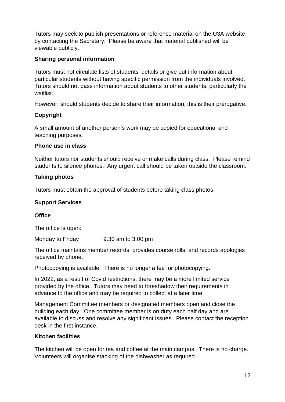Tutors may seek to publish presentations or reference material on the U3A website by contacting the Secretary. Please be aware that material published will be viewable publicly.

## <span id="page-11-0"></span>**Sharing personal information**

Tutors must not circulate lists of students' details or give out information about particular students without having specific permission from the individuals involved. Tutors should not pass information about students to other students, particularly the waitlist.

However, should students decide to share their information, this is their prerogative.

# <span id="page-11-1"></span>**Copyright**

A small amount of another person's work may be copied for educational and teaching purposes.

## <span id="page-11-2"></span>**Phone use in class**

Neither tutors nor students should receive or make calls during class. Please remind students to silence phones. Any urgent call should be taken outside the classroom.

#### <span id="page-11-3"></span>**Taking photos**

Tutors must obtain the approval of students before taking class photos.

#### <span id="page-11-4"></span>**Support Services**

#### <span id="page-11-5"></span>**Office**

The office is open:

Monday to Friday 9.30 am to 3.00 pm

The office maintains member records, provides course rolls, and records apologies received by phone.

Photocopying is available. There is no longer a fee for photocopying.

In 2022, as a result of Covid restrictions, there may be a more limited service provided by the office. Tutors may need to foreshadow their requirements in advance to the office and may be required to collect at a later time.

Management Committee members or designated members open and close the building each day. One committee member is on duty each half day and are available to discuss and resolve any significant issues. Please contact the reception desk in the first instance.

## <span id="page-11-6"></span>**Kitchen facilities**

The kitchen will be open for tea and coffee at the main campus. There is no charge. Volunteers will organise stacking of the dishwasher as required.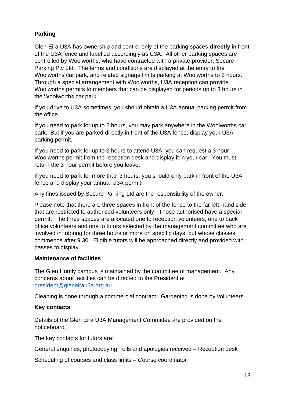# <span id="page-12-0"></span>**Parking**

Glen Eira U3A has ownership and control only of the parking spaces **directly** in front of the U3A fence and labelled accordingly as U3A. All other parking spaces are controlled by Woolworths, who have contracted with a private provider, Secure Parking Pty Ltd. The terms and conditions are displayed at the entry to the Woolworths car park, and related signage limits parking at Woolworths to 2 hours. Through a special arrangement with Woolworths, U3A reception can provide Woolworths permits to members that can be displayed for periods up to 3 hours in the Woolworths car park.

If you drive to U3A sometimes, you should obtain a U3A annual parking permit from the office.

If you need to park for up to 2 hours, you may park anywhere in the Woolworths car park. But if you are parked directly in front of the U3A fence, display your U3A parking permit.

If you need to park for up to 3 hours to attend U3A, you can request a 3 hour Woolworths permit from the reception desk and display it in your car. You must return the 3 hour permit before you leave.

If you need to park for more than 3 hours, you should only park in front of the U3A fence and display your annual U3A permit.

Any fines issued by Secure Parking Ltd are the responsibility of the owner.

Please note that there are three spaces in front of the fence to the far left-hand side that are restricted to authorised volunteers only. Those authorised have a special permit. The three spaces are allocated one to reception volunteers, one to back office volunteers and one to tutors selected by the management committee who are involved in tutoring for three hours or more on specific days, but whose classes commence after 9.30. Eligible tutors will be approached directly and provided with passes to display.

## <span id="page-12-1"></span>**Maintenance of facilities**

The Glen Huntly campus is maintained by the committee of management. Any concerns about facilities can be directed to the President at [president@gleneirau3a.org.au](mailto:president@gleneirau3a.org.au) .

Cleaning is done through a commercial contract. Gardening is done by volunteers.

## <span id="page-12-2"></span>**Key contacts**

Details of the Glen Eira U3A Management Committee are provided on the noticeboard.

The key contacts for tutors are:

General enquiries, photocopying, rolls and apologies received – Reception desk

Scheduling of courses and class limits – Course coordinator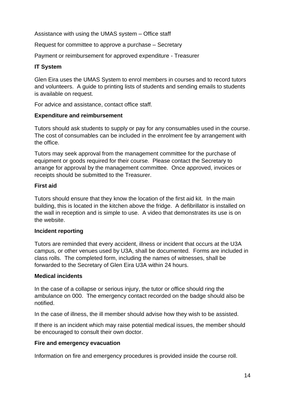Assistance with using the UMAS system – Office staff

Request for committee to approve a purchase – Secretary

Payment or reimbursement for approved expenditure - Treasurer

## <span id="page-13-0"></span>**IT System**

Glen Eira uses the UMAS System to enrol members in courses and to record tutors and volunteers. A guide to printing lists of students and sending emails to students is available on request.

For advice and assistance, contact office staff.

## <span id="page-13-1"></span>**Expenditure and reimbursement**

Tutors should ask students to supply or pay for any consumables used in the course. The cost of consumables can be included in the enrolment fee by arrangement with the office.

Tutors may seek approval from the management committee for the purchase of equipment or goods required for their course. Please contact the Secretary to arrange for approval by the management committee. Once approved, invoices or receipts should be submitted to the Treasurer.

#### <span id="page-13-2"></span>**First aid**

Tutors should ensure that they know the location of the first aid kit. In the main building, this is located in the kitchen above the fridge. A defibrillator is installed on the wall in reception and is simple to use. A video that demonstrates its use is on the website.

## <span id="page-13-3"></span>**Incident reporting**

Tutors are reminded that every accident, illness or incident that occurs at the U3A campus, or other venues used by U3A, shall be documented. Forms are included in class rolls. The completed form, including the names of witnesses, shall be forwarded to the Secretary of Glen Eira U3A within 24 hours.

## <span id="page-13-4"></span>**Medical incidents**

In the case of a collapse or serious injury, the tutor or office should ring the ambulance on 000. The emergency contact recorded on the badge should also be notified.

In the case of illness, the ill member should advise how they wish to be assisted.

If there is an incident which may raise potential medical issues, the member should be encouraged to consult their own doctor.

## <span id="page-13-5"></span>**Fire and emergency evacuation**

Information on fire and emergency procedures is provided inside the course roll.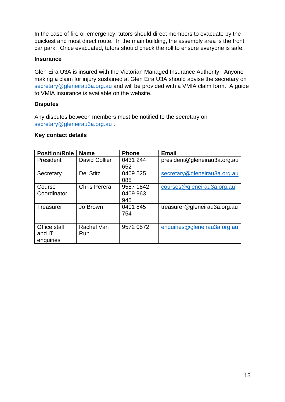In the case of fire or emergency, tutors should direct members to evacuate by the quickest and most direct route. In the main building, the assembly area is the front car park. Once evacuated, tutors should check the roll to ensure everyone is safe.

#### <span id="page-14-0"></span>**Insurance**

Glen Eira U3A is insured with the Victorian Managed Insurance Authority. Anyone making a claim for injury sustained at Glen Eira U3A should advise the secretary on [secretary@gleneirau3a.org.au](mailto:secretary@gleneirau3a.org.au) and will be provided with a VMIA claim form. A guide to VMIA insurance is available on the website.

## <span id="page-14-1"></span>**Disputes**

Any disputes between members must be notified to the secretary on [secretary@gleneirau3a.org.au](mailto:secretary@gleneirau3a.org.au) .

#### <span id="page-14-2"></span>**Key contact details**

| <b>Position/Role</b> | <b>Name</b>          | <b>Phone</b> | <b>Email</b>                 |
|----------------------|----------------------|--------------|------------------------------|
| President            | <b>David Collier</b> | 0431 244     | president@gleneirau3a.org.au |
|                      |                      | 652          |                              |
| Secretary            | <b>Del Stitz</b>     | 0409 525     | secretary@gleneirau3a.org.au |
|                      |                      | 085          |                              |
| Course               | <b>Chris Perera</b>  | 9557 1842    | courses@gleneirau3a.org.au   |
| Coordinator          |                      | 0409 963     |                              |
|                      |                      | 945          |                              |
| Treasurer            | Jo Brown             | 0401 845     | treasurer@gleneirau3a.org.au |
|                      |                      | 754          |                              |
|                      |                      |              |                              |
| Office staff         | Rachel Van           | 9572 0572    | enquiries@gleneirau3a.org.au |
| and IT               | <b>Run</b>           |              |                              |
| enquiries            |                      |              |                              |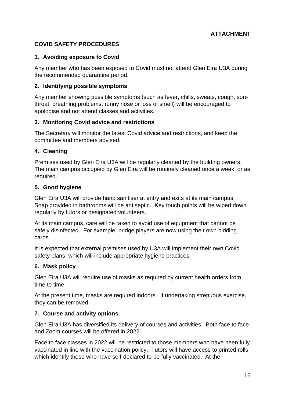## <span id="page-15-0"></span>**COVID SAFETY PROCEDURES**

#### **1. Avoiding exposure to Covid**

Any member who has been exposed to Covid must not attend Glen Eira U3A during the recommended quarantine period.

#### **2. Identifying possible symptoms**

Any member showing possible symptoms (such as fever, chills, sweats, cough, sore throat, breathing problems, runny nose or loss of smell) will be encouraged to apologise and not attend classes and activities.

#### **3. Monitoring Covid advice and restrictions**

The Secretary will monitor the latest Covid advice and restrictions, and keep the committee and members advised.

#### **4. Cleaning**

Premises used by Glen Eira U3A will be regularly cleaned by the building owners. The main campus occupied by Glen Eira will be routinely cleaned once a week, or as required.

#### **5. Good hygiene**

Glen Eira U3A will provide hand sanitiser at entry and exits at its main campus. Soap provided in bathrooms will be antiseptic. Key touch points will be wiped down regularly by tutors or designated volunteers.

At its main campus, care will be taken to avoid use of equipment that cannot be safely disinfected. For example, bridge players are now using their own bidding cards.

It is expected that external premises used by U3A will implement their own Covid safety plans, which will include appropriate hygiene practices.

#### **6. Mask policy**

Glen Eira U3A will require use of masks as required by current health orders from time to time.

At the present time, masks are required indoors. If undertaking strenuous exercise, they can be removed.

#### **7. Course and activity options**

Glen Eira U3A has diversified its delivery of courses and activities. Both face to face and Zoom courses will be offered in 2022.

Face to face classes in 2022 will be restricted to those members who have been fully vaccinated in line with the vaccination policy. Tutors will have access to printed rolls which identify those who have self-declared to be fully vaccinated. At the